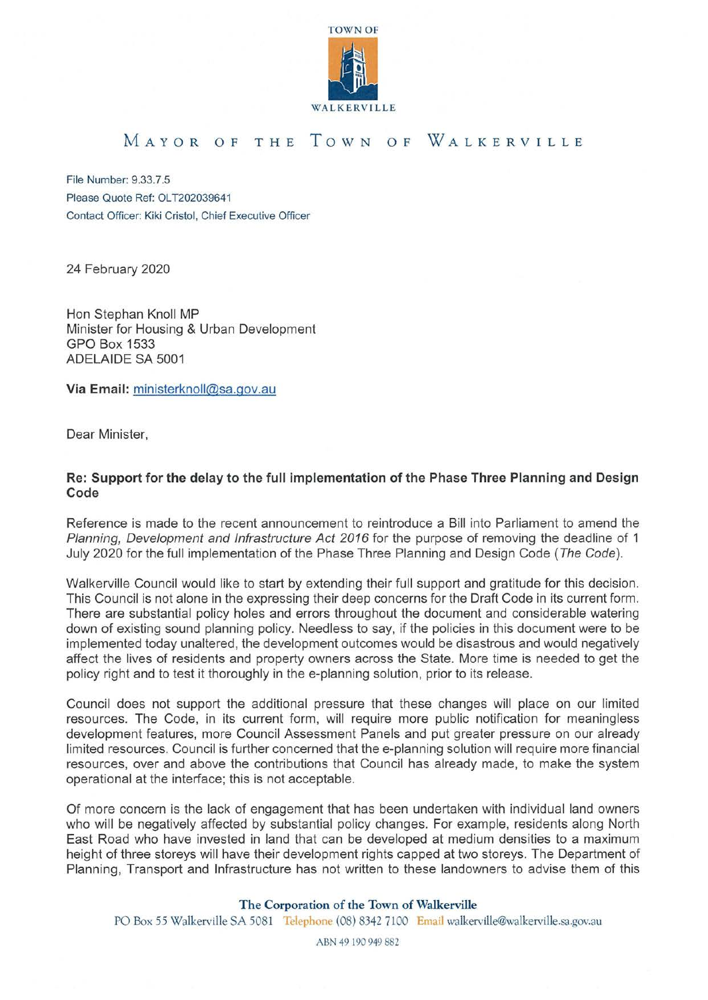

## MAYOR OF THE TowN OF WALKERVILLE

File Number: 9.33.7.5 Please Quote Ref: OLT202039641 Contact Officer: Kiki Cristal, Chief Executive Officer

24 February 2020

Hon Stephan Knoll MP Minister for Housing & Urban Development GPO Box 1533 ADELAIDE SA 5001

**Via Email:** ministerknoll@sa.gov.au

Dear Minister,

## **Re: Support for the delay to the full implementation of the Phase Three Planning and Design Code**

Reference is made to the recent announcement to reintroduce a Bill into Parliament to amend the Planning, Development and Infrastructure Act 2016 for the purpose of removing the deadline of 1 July 2020 for the full implementation of the Phase Three Planning and Design Code (The Code).

Walkerville Council would like to start by extending their full support and gratitude for this decision. This Council is not alone in the expressing their deep concerns for the Draft Code in its current form . There are substantial policy holes and errors throughout the document and considerable watering down of existing sound planning policy. Needless to say, if the policies in this document were to be implemented today unaltered, the development outcomes would be disastrous and would negatively affect the lives of residents and property owners across the State. More time is needed to get the policy right and to test it thoroughly in the e-planning solution, prior to its release.

Council does not support the additional pressure that these changes will place on our limited resources. The Code, in its current form, will require more public notification for meaningless development features, more Council Assessment Panels and put greater pressure on our already limited resources. Council is further concerned that the e-planning solution will require more financial resources, over and above the contributions that Council has already made, to make the system operational at the interface; this is not acceptable.

Of more concern is the lack of engagement that has been undertaken with individual land owners who will be negatively affected by substantial policy changes. For example, residents along North East Road who have invested in land that can be developed at medium densities to a maximum height of three storeys will have their development rights capped at two storeys. The Department of Planning, Transport and Infrastructure has not written to these landowners to advise them of this

## **The Corporation of the Town of Walkerville**

PO Box 55 Walkerville SA 5081 **Telephone** (08) 8342 7100 **Email** walkerville@walkerville.sa.gov.au

ABN 49 190 949 882